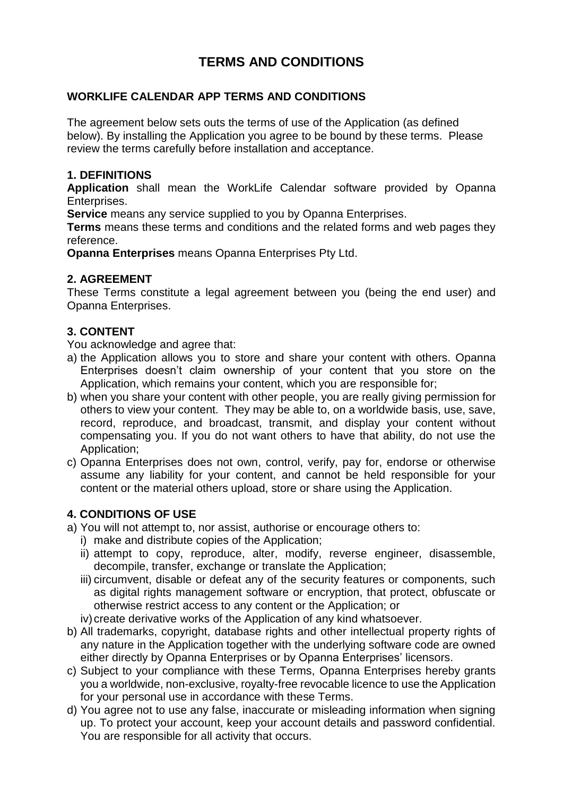# **TERMS AND CONDITIONS**

### **WORKLIFE CALENDAR APP TERMS AND CONDITIONS**

The agreement below sets outs the terms of use of the Application (as defined below). By installing the Application you agree to be bound by these terms. Please review the terms carefully before installation and acceptance.

#### **1. DEFINITIONS**

**Application** shall mean the WorkLife Calendar software provided by Opanna Enterprises.

**Service** means any service supplied to you by Opanna Enterprises.

**Terms** means these terms and conditions and the related forms and web pages they reference.

**Opanna Enterprises** means Opanna Enterprises Pty Ltd.

#### **2. AGREEMENT**

These Terms constitute a legal agreement between you (being the end user) and Opanna Enterprises.

#### **3. CONTENT**

You acknowledge and agree that:

- a) the Application allows you to store and share your content with others. Opanna Enterprises doesn't claim ownership of your content that you store on the Application, which remains your content, which you are responsible for;
- b) when you share your content with other people, you are really giving permission for others to view your content. They may be able to, on a worldwide basis, use, save, record, reproduce, and broadcast, transmit, and display your content without compensating you. If you do not want others to have that ability, do not use the Application;
- c) Opanna Enterprises does not own, control, verify, pay for, endorse or otherwise assume any liability for your content, and cannot be held responsible for your content or the material others upload, store or share using the Application.

# **4. CONDITIONS OF USE**

- a) You will not attempt to, nor assist, authorise or encourage others to:
	- i) make and distribute copies of the Application;
		- ii) attempt to copy, reproduce, alter, modify, reverse engineer, disassemble, decompile, transfer, exchange or translate the Application;
		- iii) circumvent, disable or defeat any of the security features or components, such as digital rights management software or encryption, that protect, obfuscate or otherwise restrict access to any content or the Application; or
	- iv) create derivative works of the Application of any kind whatsoever.
- b) All trademarks, copyright, database rights and other intellectual property rights of any nature in the Application together with the underlying software code are owned either directly by Opanna Enterprises or by Opanna Enterprises' licensors.
- c) Subject to your compliance with these Terms, Opanna Enterprises hereby grants you a worldwide, non-exclusive, royalty-free revocable licence to use the Application for your personal use in accordance with these Terms.
- d) You agree not to use any false, inaccurate or misleading information when signing up. To protect your account, keep your account details and password confidential. You are responsible for all activity that occurs.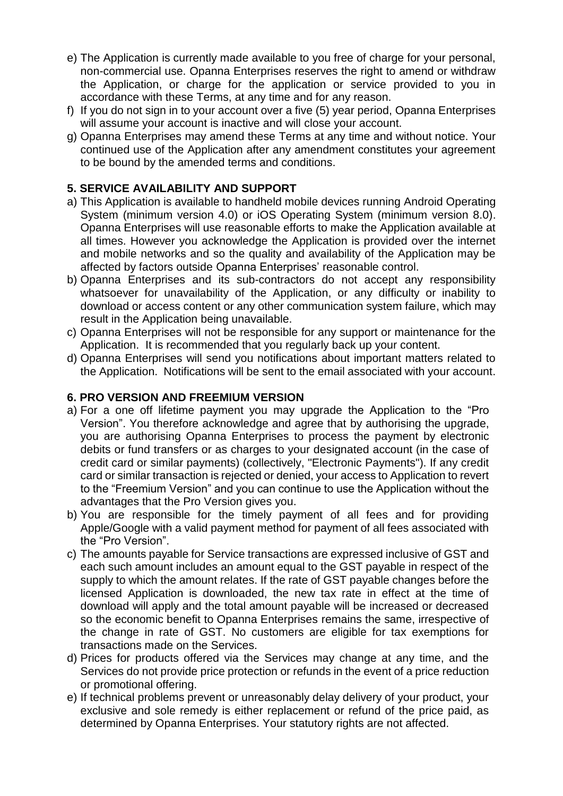- e) The Application is currently made available to you free of charge for your personal, non-commercial use. Opanna Enterprises reserves the right to amend or withdraw the Application, or charge for the application or service provided to you in accordance with these Terms, at any time and for any reason.
- f) If you do not sign in to your account over a five (5) year period, Opanna Enterprises will assume your account is inactive and will close your account.
- g) Opanna Enterprises may amend these Terms at any time and without notice. Your continued use of the Application after any amendment constitutes your agreement to be bound by the amended terms and conditions.

### **5. SERVICE AVAILABILITY AND SUPPORT**

- a) This Application is available to handheld mobile devices running Android Operating System (minimum version 4.0) or iOS Operating System (minimum version 8.0). Opanna Enterprises will use reasonable efforts to make the Application available at all times. However you acknowledge the Application is provided over the internet and mobile networks and so the quality and availability of the Application may be affected by factors outside Opanna Enterprises' reasonable control.
- b) Opanna Enterprises and its sub-contractors do not accept any responsibility whatsoever for unavailability of the Application, or any difficulty or inability to download or access content or any other communication system failure, which may result in the Application being unavailable.
- c) Opanna Enterprises will not be responsible for any support or maintenance for the Application. It is recommended that you regularly back up your content.
- d) Opanna Enterprises will send you notifications about important matters related to the Application. Notifications will be sent to the email associated with your account.

#### **6. PRO VERSION AND FREEMIUM VERSION**

- a) For a one off lifetime payment you may upgrade the Application to the "Pro Version". You therefore acknowledge and agree that by authorising the upgrade, you are authorising Opanna Enterprises to process the payment by electronic debits or fund transfers or as charges to your designated account (in the case of credit card or similar payments) (collectively, "Electronic Payments"). If any credit card or similar transaction is rejected or denied, your access to Application to revert to the "Freemium Version" and you can continue to use the Application without the advantages that the Pro Version gives you.
- b) You are responsible for the timely payment of all fees and for providing Apple/Google with a valid payment method for payment of all fees associated with the "Pro Version".
- c) The amounts payable for Service transactions are expressed inclusive of GST and each such amount includes an amount equal to the GST payable in respect of the supply to which the amount relates. If the rate of GST payable changes before the licensed Application is downloaded, the new tax rate in effect at the time of download will apply and the total amount payable will be increased or decreased so the economic benefit to Opanna Enterprises remains the same, irrespective of the change in rate of GST. No customers are eligible for tax exemptions for transactions made on the Services.
- d) Prices for products offered via the Services may change at any time, and the Services do not provide price protection or refunds in the event of a price reduction or promotional offering.
- e) If technical problems prevent or unreasonably delay delivery of your product, your exclusive and sole remedy is either replacement or refund of the price paid, as determined by Opanna Enterprises. Your statutory rights are not affected.